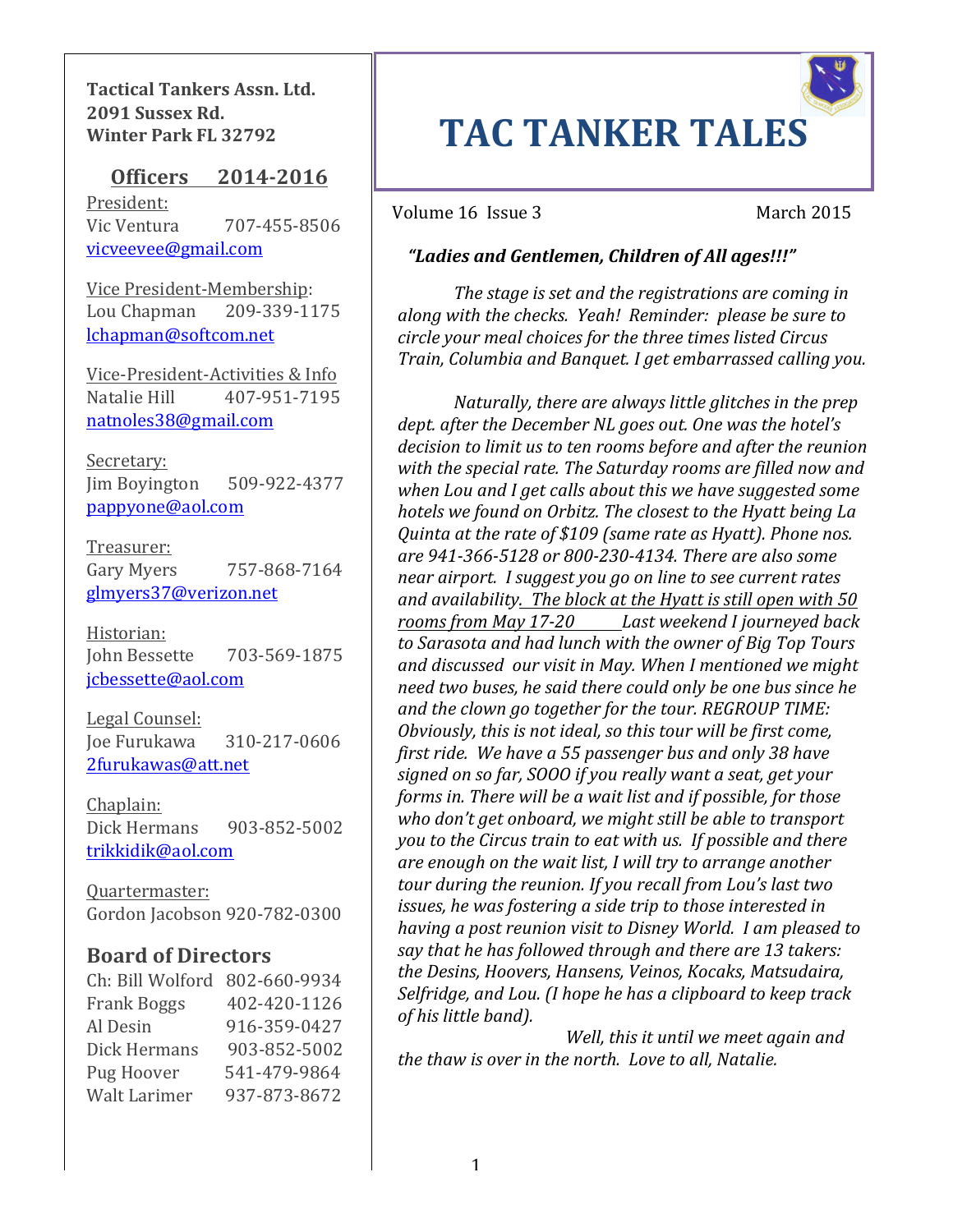**Tactical Tankers Assn. Ltd. 2091 Sussex Rd. Winter Park FL 32792**

## **Officers** 2014-2016

President: Vic Ventura 207-455-8506 vicveevee@gmail.com 

Vice President-Membership: Lou Chapman 209-339-1175 lchapman@softcom.net

Vice-President-Activities & Info Natalie Hill 407-951-7195 natnoles38@gmail.com

Secretary:  $\lim$  Boyington  $509-922-4377$ pappyone@aol.com

Treasurer: Gary Myers 757-868-7164 glmyers37@verizon.net

Historian: John Bessette 703-569-1875 jcbessette@aol.com

Legal Counsel: Joe Furukawa 310-217-0606 2furukawas@att.net

Chaplain: Dick Hermans 903-852-5002 trikkidik@aol.com

Quartermaster: Gordon Jacobson 920-782-0300

## **Board of Directors**

| Ch: Bill Wolford 802-660-9934 |              |
|-------------------------------|--------------|
| <b>Frank Boggs</b>            | 402-420-1126 |
| Al Desin                      | 916-359-0427 |
| Dick Hermans                  | 903-852-5002 |
| Pug Hoover                    | 541-479-9864 |
| Walt Larimer                  | 937-873-8672 |

# **TAC TANKER TALES**

Volume 16 Issue 3 March 2015

## *"Ladies and Gentlemen, Children of All ages!!!"*

along with the checks. Yeah! Reminder: please be sure to The stage is set and the registrations are coming in *circle your meal choices for the three times listed Circus Train, Columbia and Banquet. I get embarrassed calling you.* 

near airport. I suggest you go on line to see current rates<br>National contract of the set of the set of the set of the set of the set of the set of the set of the set of t *Naturally, there are always little glitches in the prep dept. after the December NL goes out. One was the hotel's* decision to limit us to ten rooms before and after the reunion with the special rate. The Saturday rooms are filled now and when Lou and I get calls about this we have suggested some *hotels* we found on Orbitz. The closest to the Hyatt being La *Quinta at the rate of* \$109 *(same rate as Hyatt). Phone nos. are 941-366-5128 or 800-230-4134. There are also some*  and availability. The block at the Hyatt is still open with 50 rooms from May 17-20 Last weekend I journeyed back to Sarasota and had lunch with the owner of Big Top Tours and discussed our visit in May. When I mentioned we might *need two buses, he said there could only be one bus since he* and the clown go together for the tour. REGROUP TIME: *Obviously, this is not ideal, so this tour will be first come, first ride.* We have a 55 passenger bus and only 38 have signed on so far, SOOO if you really want a seat, get your *forms in. There will be a wait list and if possible, for those* who don't get onboard, we might still be able to transport *you to the Circus train to eat with us. If possible and there* are enough on the wait list, I will try to arrange another *tour during the reunion. If you recall from Lou's last two issues, he was fostering a side trip to those interested in having a post reunion visit to Disney World. I am pleased to* say that he has followed through and there are 13 takers: *the Desins, Hoovers, Hansens, Veinos, Kocaks, Matsudaira,*  Selfridge, and Lou. (I hope he has a clipboard to keep track *of his little band).*

*Well, this it until we meet again and the thaw is over in the north. Love to all. Natalie.*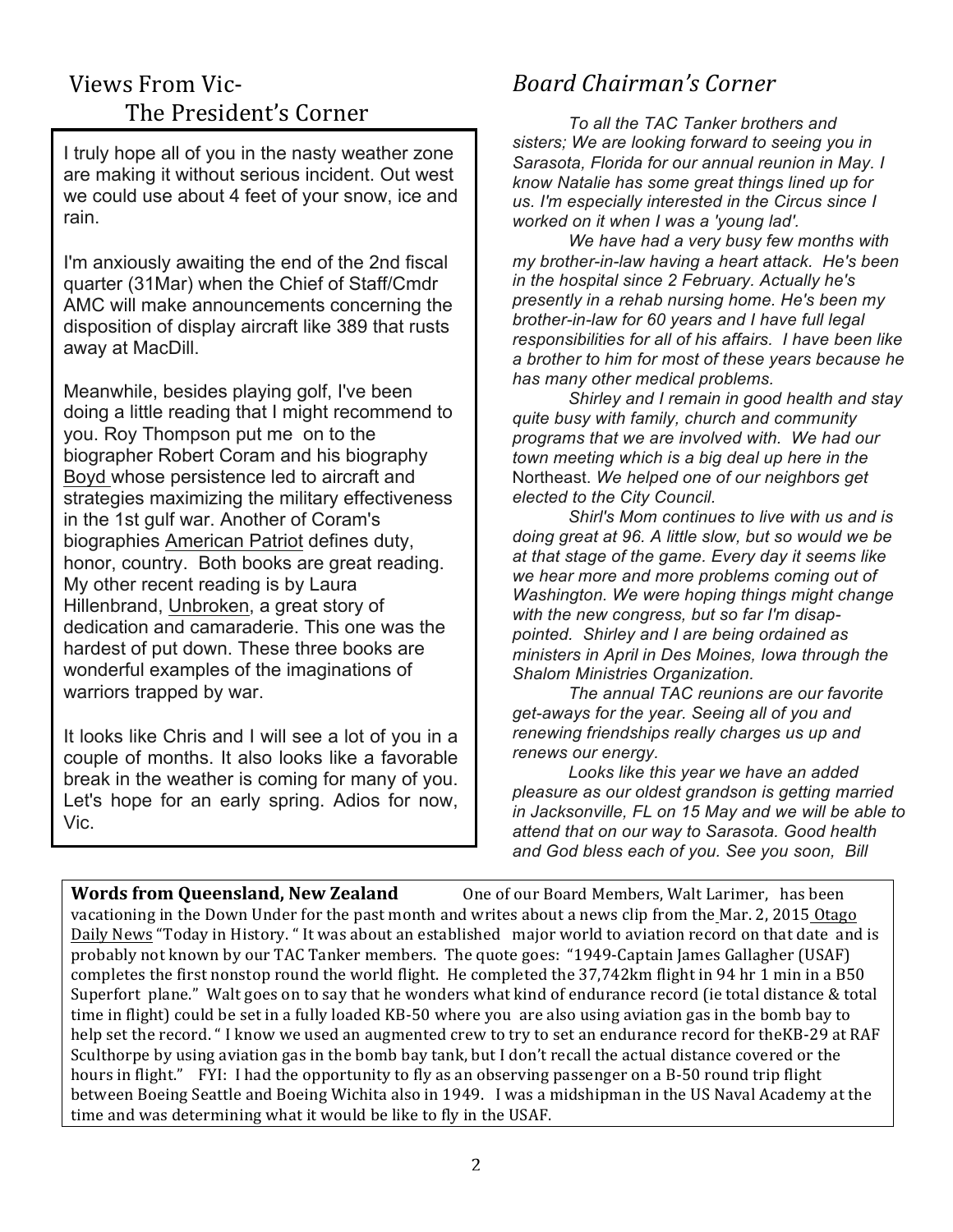# Views From Vic-The President's Corner

I truly hope all of you in the nasty weather zone are making it without serious incident. Out west we could use about 4 feet of your snow, ice and rain.

I'm anxiously awaiting the end of the 2nd fiscal quarter (31Mar) when the Chief of Staff/Cmdr AMC will make announcements concerning the disposition of display aircraft like 389 that rusts away at MacDill.

Meanwhile, besides playing golf, I've been doing a little reading that I might recommend to you. Roy Thompson put me on to the biographer Robert Coram and his biography Boyd whose persistence led to aircraft and strategies maximizing the military effectiveness in the 1st gulf war. Another of Coram's biographies American Patriot defines duty, honor, country. Both books are great reading. My other recent reading is by Laura Hillenbrand, Unbroken, a great story of dedication and camaraderie. This one was the hardest of put down. These three books are wonderful examples of the imaginations of warriors trapped by war.

It looks like Chris and I will see a lot of you in a couple of months. It also looks like a favorable break in the weather is coming for many of you. Let's hope for an early spring. Adios for now, Vic.

# *Board Chairman's Corner*

*To all the TAC Tanker brothers and sisters; We are looking forward to seeing you in Sarasota, Florida for our annual reunion in May. I know Natalie has some great things lined up for us. I'm especially interested in the Circus since I worked on it when I was a 'young lad'.*

*We have had a very busy few months with my brother-in-law having a heart attack. He's been in the hospital since 2 February. Actually he's presently in a rehab nursing home. He's been my brother-in-law for 60 years and I have full legal responsibilities for all of his affairs. I have been like a brother to him for most of these years because he has many other medical problems.*

*Shirley and I remain in good health and stay quite busy with family, church and community programs that we are involved with. We had our town meeting which is a big deal up here in the*  Northeast. *We helped one of our neighbors get elected to the City Council.*

*Shirl's Mom continues to live with us and is doing great at 96. A little slow, but so would we be at that stage of the game. Every day it seems like we hear more and more problems coming out of Washington. We were hoping things might change with the new congress, but so far I'm disappointed. Shirley and I are being ordained as ministers in April in Des Moines, Iowa through the Shalom Ministries Organization.*

*The annual TAC reunions are our favorite get-aways for the year. Seeing all of you and renewing friendships really charges us up and renews our energy.*

*Looks like this year we have an added pleasure as our oldest grandson is getting married in Jacksonville, FL on 15 May and we will be able to attend that on our way to Sarasota. Good health and God bless each of you. See you soon, Bill*

**Words from Queensland, New Zealand** One of our Board Members, Walt Larimer, has been vacationing in the Down Under for the past month and writes about a news clip from the Mar. 2, 2015 Otago Daily News "Today in History. " It was about an established major world to aviation record on that date and is probably not known by our TAC Tanker members. The quote goes: "1949-Captain James Gallagher (USAF) completes the first nonstop round the world flight. He completed the 37,742km flight in 94 hr 1 min in a B50 Superfort plane." Walt goes on to say that he wonders what kind of endurance record (ie total distance  $&$  total time in flight) could be set in a fully loaded KB-50 where you are also using aviation gas in the bomb bay to help set the record. " I know we used an augmented crew to try to set an endurance record for theKB-29 at RAF Sculthorpe by using aviation gas in the bomb bay tank, but I don't recall the actual distance covered or the hours in flight." FYI: I had the opportunity to fly as an observing passenger on a B-50 round trip flight between Boeing Seattle and Boeing Wichita also in 1949. I was a midshipman in the US Naval Academy at the time and was determining what it would be like to fly in the USAF.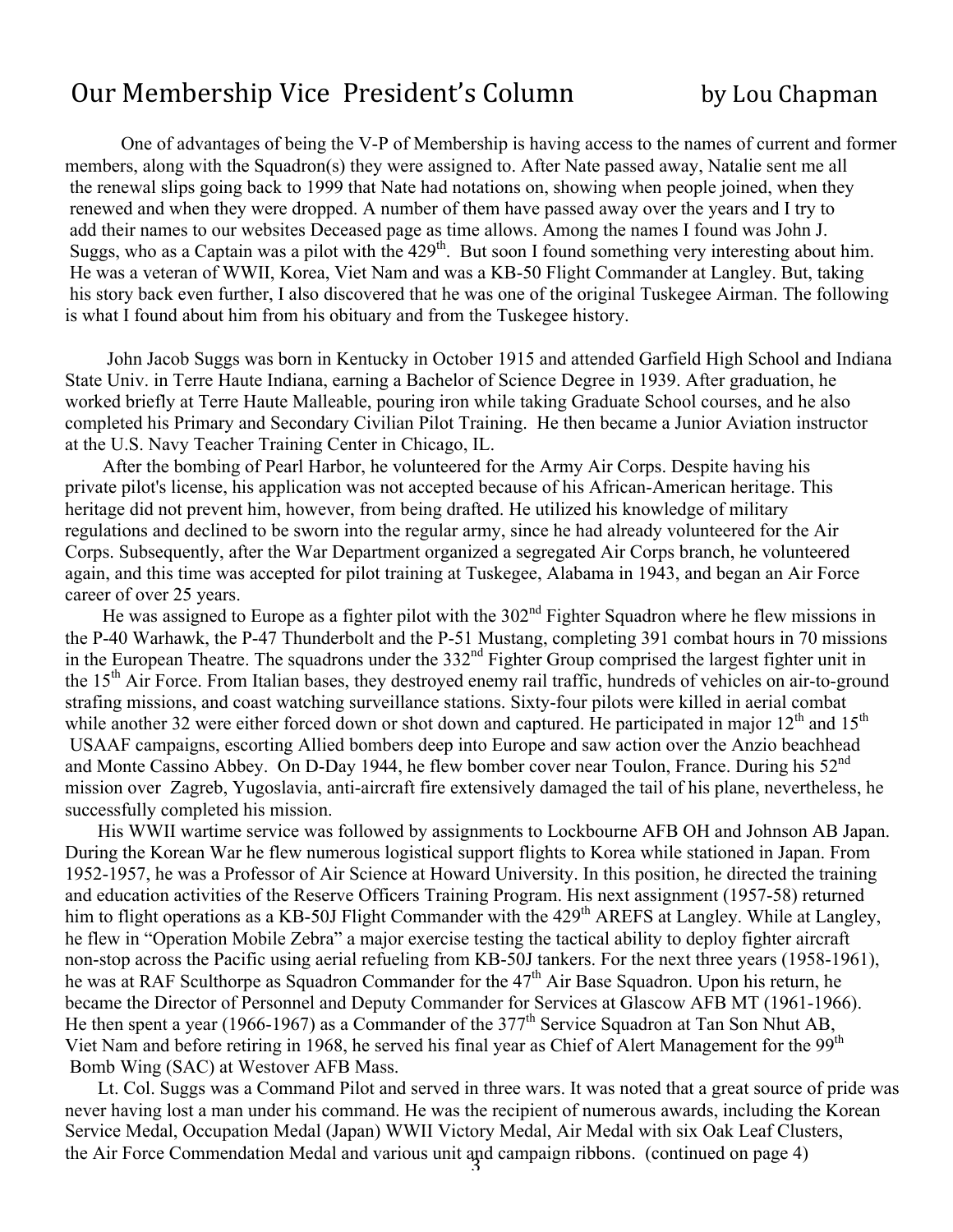# Our Membership Vice President's Column by Lou Chapman

One of advantages of being the V-P of Membership is having access to the names of current and former members, along with the Squadron(s) they were assigned to. After Nate passed away, Natalie sent me all the renewal slips going back to 1999 that Nate had notations on, showing when people joined, when they renewed and when they were dropped. A number of them have passed away over the years and I try to add their names to our websites Deceased page as time allows. Among the names I found was John J. Suggs, who as a Captain was a pilot with the  $429<sup>th</sup>$ . But soon I found something very interesting about him. He was a veteran of WWII, Korea, Viet Nam and was a KB-50 Flight Commander at Langley. But, taking his story back even further, I also discovered that he was one of the original Tuskegee Airman. The following is what I found about him from his obituary and from the Tuskegee history.

 John Jacob Suggs was born in Kentucky in October 1915 and attended Garfield High School and Indiana State Univ. in Terre Haute Indiana, earning a Bachelor of Science Degree in 1939. After graduation, he worked briefly at Terre Haute Malleable, pouring iron while taking Graduate School courses, and he also completed his Primary and Secondary Civilian Pilot Training. He then became a Junior Aviation instructor at the U.S. Navy Teacher Training Center in Chicago, IL.

 After the bombing of Pearl Harbor, he volunteered for the Army Air Corps. Despite having his private pilot's license, his application was not accepted because of his African-American heritage. This heritage did not prevent him, however, from being drafted. He utilized his knowledge of military regulations and declined to be sworn into the regular army, since he had already volunteered for the Air Corps. Subsequently, after the War Department organized a segregated Air Corps branch, he volunteered again, and this time was accepted for pilot training at Tuskegee, Alabama in 1943, and began an Air Force career of over 25 years.

He was assigned to Europe as a fighter pilot with the 302<sup>nd</sup> Fighter Squadron where he flew missions in the P-40 Warhawk, the P-47 Thunderbolt and the P-51 Mustang, completing 391 combat hours in 70 missions in the European Theatre. The squadrons under the 332<sup>nd</sup> Fighter Group comprised the largest fighter unit in the 15<sup>th</sup> Air Force. From Italian bases, they destroyed enemy rail traffic, hundreds of vehicles on air-to-ground strafing missions, and coast watching surveillance stations. Sixty-four pilots were killed in aerial combat while another 32 were either forced down or shot down and captured. He participated in major  $12<sup>th</sup>$  and  $15<sup>th</sup>$ USAAF campaigns, escorting Allied bombers deep into Europe and saw action over the Anzio beachhead and Monte Cassino Abbey. On D-Day 1944, he flew bomber cover near Toulon, France. During his 52<sup>nd</sup> mission over Zagreb, Yugoslavia, anti-aircraft fire extensively damaged the tail of his plane, nevertheless, he successfully completed his mission.

 His WWII wartime service was followed by assignments to Lockbourne AFB OH and Johnson AB Japan. During the Korean War he flew numerous logistical support flights to Korea while stationed in Japan. From 1952-1957, he was a Professor of Air Science at Howard University. In this position, he directed the training and education activities of the Reserve Officers Training Program. His next assignment (1957-58) returned him to flight operations as a KB-50J Flight Commander with the 429<sup>th</sup> AREFS at Langley. While at Langley, he flew in "Operation Mobile Zebra" a major exercise testing the tactical ability to deploy fighter aircraft non-stop across the Pacific using aerial refueling from KB-50J tankers. For the next three years (1958-1961), he was at RAF Sculthorpe as Squadron Commander for the 47<sup>th</sup> Air Base Squadron. Upon his return, he became the Director of Personnel and Deputy Commander for Services at Glascow AFB MT (1961-1966). He then spent a year (1966-1967) as a Commander of the  $377<sup>th</sup>$  Service Squadron at Tan Son Nhut AB, Viet Nam and before retiring in 1968, he served his final year as Chief of Alert Management for the 99th Bomb Wing (SAC) at Westover AFB Mass.

3 Lt. Col. Suggs was a Command Pilot and served in three wars. It was noted that a great source of pride was never having lost a man under his command. He was the recipient of numerous awards, including the Korean Service Medal, Occupation Medal (Japan) WWII Victory Medal, Air Medal with six Oak Leaf Clusters, the Air Force Commendation Medal and various unit and campaign ribbons. (continued on page 4)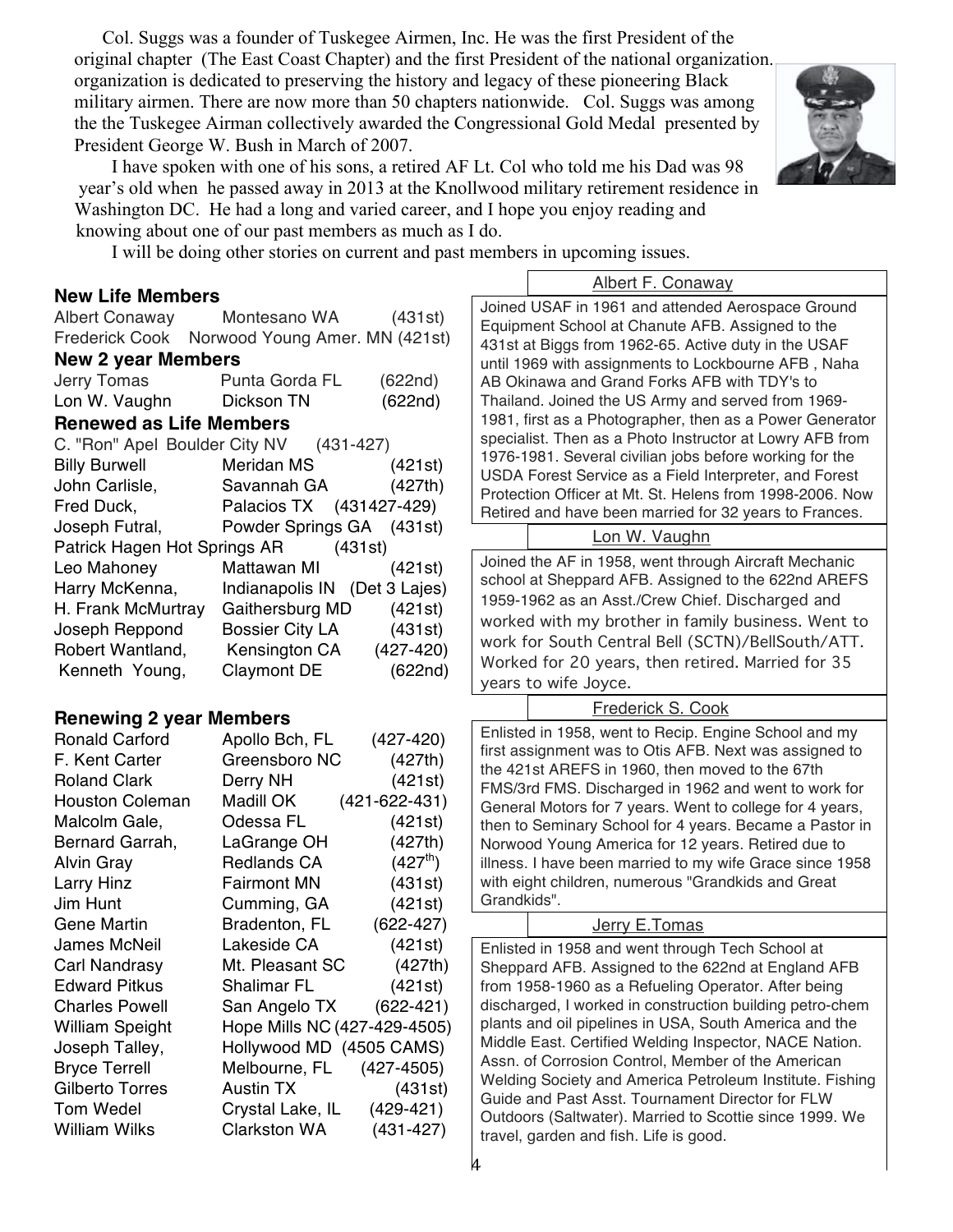Col. Suggs was a founder of Tuskegee Airmen, Inc. He was the first President of the original chapter (The East Coast Chapter) and the first President of the national organization. This organization is dedicated to preserving the history and legacy of these pioneering Black military airmen. There are now more than 50 chapters nationwide. Col. Suggs was among the the Tuskegee Airman collectively awarded the Congressional Gold Medal presented by President George W. Bush in March of 2007.



 I have spoken with one of his sons, a retired AF Lt. Col who told me his Dad was 98 year's old when he passed away in 2013 at the Knollwood military retirement residence in Washington DC. He had a long and varied career, and I hope you enjoy reading and knowing about one of our past members as much as I do.

I will be doing other stories on current and past members in upcoming issues.

#### **New Life Members**

| <b>New 2 year Members</b> |                                               |         |  |  |  |
|---------------------------|-----------------------------------------------|---------|--|--|--|
|                           | Frederick Cook Norwood Young Amer. MN (421st) |         |  |  |  |
| <b>Albert Conaway</b>     | Montesano WA                                  | (431st) |  |  |  |

| Renewed as I ife Memhers |                |         |  |  |
|--------------------------|----------------|---------|--|--|
| Lon W. Vaughn            | Dickson TN     | (622nd) |  |  |
| Jerry Tomas              | Punta Gorda FL | (622nd) |  |  |

#### **Renewed as Life Members**

| C. "Ron" Apel Boulder City NV (431-427) |                               |               |
|-----------------------------------------|-------------------------------|---------------|
| <b>Billy Burwell</b>                    | Meridan MS                    | (421st)       |
| John Carlisle,                          | Savannah GA                   | (427th)       |
| Fred Duck,                              | Palacios TX (431427-429)      |               |
| Joseph Futral,                          | Powder Springs GA (431st)     |               |
| Patrick Hagen Hot Springs AR (431st)    |                               |               |
| Leo Mahoney                             | Mattawan MI                   | (421st)       |
| Harry McKenna,                          | Indianapolis IN (Det 3 Lajes) |               |
| H. Frank McMurtray                      | Gaithersburg MD               | (421st)       |
| Joseph Reppond                          | <b>Bossier City LA</b>        | (431st)       |
| Robert Wantland,                        | Kensington CA                 | $(427 - 420)$ |
| Kenneth Young,                          | <b>Claymont DE</b>            | (622nd)       |

## **Renewing 2 year Members**

| <b>Ronald Carford</b>  | Apollo Bch, FL               | $(427 - 420)$        |
|------------------------|------------------------------|----------------------|
| F. Kent Carter         | Greensboro NC                | (427th)              |
| <b>Roland Clark</b>    | Derry NH                     | (421st)              |
| <b>Houston Coleman</b> | Madill OK                    | $(421 - 622 - 431)$  |
| Malcolm Gale,          | Odessa FL                    | (421st)              |
| Bernard Garrah,        | LaGrange OH                  | (427th)              |
| <b>Alvin Gray</b>      | Redlands CA                  | (427 <sup>th</sup> ) |
| Larry Hinz             | <b>Fairmont MN</b>           | (431st)              |
| Jim Hunt               | Cumming, GA                  | (421st)              |
| <b>Gene Martin</b>     | <b>Bradenton, FL</b>         | $(622 - 427)$        |
| <b>James McNeil</b>    | Lakeside CA                  | (421st)              |
| Carl Nandrasy          | Mt. Pleasant SC              | (427th)              |
| <b>Edward Pitkus</b>   | Shalimar FL                  | (421st)              |
| <b>Charles Powell</b>  | San Angelo TX                | $(622 - 421)$        |
| William Speight        | Hope Mills NC (427-429-4505) |                      |
| Joseph Talley,         | Hollywood MD (4505 CAMS)     |                      |
| <b>Bryce Terrell</b>   | Melbourne, FL                | $(427 - 4505)$       |
| Gilberto Torres        | Austin TX                    | (431st)              |
| <b>Tom Wedel</b>       | Crystal Lake, IL             | $(429-421)$          |
| <b>William Wilks</b>   | Clarkston WA                 | $(431 - 427)$        |
|                        |                              |                      |

Albert F. Conaway Joined USAF in 1961 and attended Aerospace Ground Equipment School at Chanute AFB. Assigned to the 431st at Biggs from 1962-65. Active duty in the USAF until 1969 with assignments to Lockbourne AFB , Naha AB Okinawa and Grand Forks AFB with TDY's to Thailand. Joined the US Army and served from 1969- 1981, first as a Photographer, then as a Power Generator specialist. Then as a Photo Instructor at Lowry AFB from 1976-1981. Several civilian jobs before working for the USDA Forest Service as a Field Interpreter, and Forest Protection Officer at Mt. St. Helens from 1998-2006. Now Retired and have been married for 32 years to Frances.

#### Lon W. Vaughn

Joined the AF in 1958, went through Aircraft Mechanic school at Sheppard AFB. Assigned to the 622nd AREFS 1959-1962 as an Asst./Crew Chief. Discharged and worked with my brother in family business. Went to work for South Central Bell (SCTN)/BellSouth/ATT. Worked for 20 years, then retired. Married for 35 years to wife Joyce.

Frederick S. Cook

Enlisted in 1958, went to Recip. Engine School and my first assignment was to Otis AFB. Next was assigned to the 421st AREFS in 1960, then moved to the 67th FMS/3rd FMS. Discharged in 1962 and went to work for General Motors for 7 years. Went to college for 4 years, then to Seminary School for 4 years. Became a Pastor in Norwood Young America for 12 years. Retired due to illness. I have been married to my wife Grace since 1958 with eight children, numerous "Grandkids and Great Grandkids".

## Jerry E.Tomas

Outdoors (Saltwater). Married to Scotravel, garden and fish. Life is good. Enlisted in 1958 and went through Tech School at Sheppard AFB. Assigned to the 622nd at England AFB from 1958-1960 as a Refueling Operator. After being discharged, I worked in construction building petro-chem plants and oil pipelines in USA, South America and the Middle East. Certified Welding Inspector, NACE Nation. Assn. of Corrosion Control, Member of the American Welding Society and America Petroleum Institute. Fishing Guide and Past Asst. Tournament Director for FLW Outdoors (Saltwater). Married to Scottie since 1999. We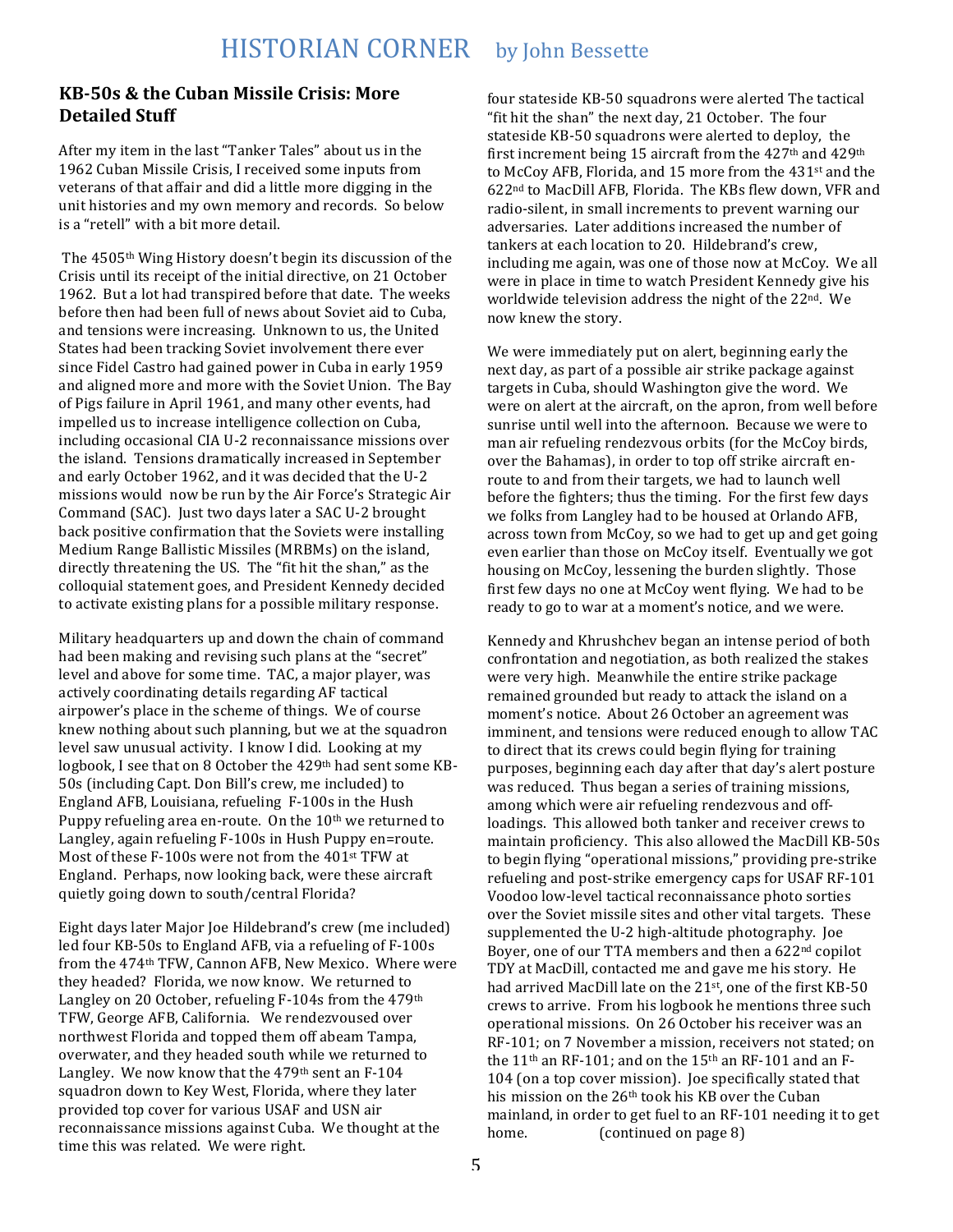#### **KB-50s & the Cuban Missile Crisis: More Detailed Stuff**

After my item in the last "Tanker Tales" about us in the 1962 Cuban Missile Crisis, I received some inputs from veterans of that affair and did a little more digging in the unit histories and my own memory and records. So below is a "retell" with a bit more detail.

The 4505<sup>th</sup> Wing History doesn't begin its discussion of the Crisis until its receipt of the initial directive, on 21 October 1962. But a lot had transpired before that date. The weeks before then had been full of news about Soviet aid to Cuba, and tensions were increasing. Unknown to us, the United States had been tracking Soviet involvement there ever since Fidel Castro had gained power in Cuba in early 1959 and aligned more and more with the Soviet Union. The Bay of Pigs failure in April 1961, and many other events, had impelled us to increase intelligence collection on Cuba, including occasional CIA U-2 reconnaissance missions over the island. Tensions dramatically increased in September and early October 1962, and it was decided that the U-2 missions would now be run by the Air Force's Strategic Air Command (SAC). Just two days later a SAC U-2 brought back positive confirmation that the Soviets were installing Medium Range Ballistic Missiles (MRBMs) on the island, directly threatening the US. The "fit hit the shan," as the colloquial statement goes, and President Kennedy decided to activate existing plans for a possible military response.

Military headquarters up and down the chain of command had been making and revising such plans at the "secret" level and above for some time. TAC, a major player, was actively coordinating details regarding AF tactical airpower's place in the scheme of things. We of course knew nothing about such planning, but we at the squadron level saw unusual activity. I know I did. Looking at my logbook, I see that on 8 October the 429<sup>th</sup> had sent some KB-50s (including Capt. Don Bill's crew, me included) to England AFB, Louisiana, refueling F-100s in the Hush Puppy refueling area en-route. On the  $10<sup>th</sup>$  we returned to Langley, again refueling F-100s in Hush Puppy en=route. Most of these F-100s were not from the 401<sup>st</sup> TFW at England. Perhaps, now looking back, were these aircraft quietly going down to south/central Florida?

Eight days later Major Joe Hildebrand's crew (me included) led four KB-50s to England AFB, via a refueling of F-100s from the 474<sup>th</sup> TFW, Cannon AFB, New Mexico. Where were they headed? Florida, we now know. We returned to Langley on 20 October, refueling F-104s from the 479th TFW, George AFB, California. We rendezvoused over northwest Florida and topped them off abeam Tampa, overwater, and they headed south while we returned to Langley. We now know that the  $479<sup>th</sup>$  sent an F-104 squadron down to Key West, Florida, where they later provided top cover for various USAF and USN air reconnaissance missions against Cuba. We thought at the time this was related. We were right.

four stateside KB-50 squadrons were alerted The tactical "fit hit the shan" the next day,  $21$  October. The four stateside KB-50 squadrons were alerted to deploy, the first increment being 15 aircraft from the  $427<sup>th</sup>$  and  $429<sup>th</sup>$ to McCoy AFB, Florida, and 15 more from the 431<sup>st</sup> and the  $622<sup>nd</sup>$  to MacDill AFB, Florida. The KBs flew down, VFR and radio-silent, in small increments to prevent warning our adversaries. Later additions increased the number of tankers at each location to 20. Hildebrand's crew, including me again, was one of those now at McCoy. We all were in place in time to watch President Kennedy give his worldwide television address the night of the  $22<sup>nd</sup>$ . We now knew the story.

We were immediately put on alert, beginning early the next day, as part of a possible air strike package against targets in Cuba, should Washington give the word. We were on alert at the aircraft, on the apron, from well before sunrise until well into the afternoon. Because we were to man air refueling rendezvous orbits (for the McCoy birds, over the Bahamas), in order to top off strike aircraft enroute to and from their targets, we had to launch well before the fighters; thus the timing. For the first few days we folks from Langley had to be housed at Orlando AFB. across town from McCoy, so we had to get up and get going even earlier than those on McCoy itself. Eventually we got housing on McCoy, lessening the burden slightly. Those first few days no one at McCoy went flying. We had to be ready to go to war at a moment's notice, and we were.

Kennedy and Khrushchev began an intense period of both confrontation and negotiation, as both realized the stakes were very high. Meanwhile the entire strike package remained grounded but ready to attack the island on a moment's notice. About 26 October an agreement was imminent, and tensions were reduced enough to allow TAC to direct that its crews could begin flying for training purposes, beginning each day after that day's alert posture was reduced. Thus began a series of training missions, among which were air refueling rendezvous and offloadings. This allowed both tanker and receiver crews to maintain proficiency. This also allowed the MacDill KB-50s to begin flying "operational missions," providing pre-strike refueling and post-strike emergency caps for USAF RF-101 Voodoo low-level tactical reconnaissance photo sorties over the Soviet missile sites and other vital targets. These supplemented the U-2 high-altitude photography. Joe Boyer, one of our TTA members and then a 622<sup>nd</sup> copilot TDY at MacDill, contacted me and gave me his story. He had arrived MacDill late on the 21<sup>st</sup>, one of the first KB-50 crews to arrive. From his logbook he mentions three such operational missions. On 26 October his receiver was an RF-101; on 7 November a mission, receivers not stated; on the  $11<sup>th</sup>$  an RF-101; and on the  $15<sup>th</sup>$  an RF-101 and an F-104 (on a top cover mission). Joe specifically stated that his mission on the 26<sup>th</sup> took his KB over the Cuban mainland, in order to get fuel to an RF-101 needing it to get home. (continued on page 8)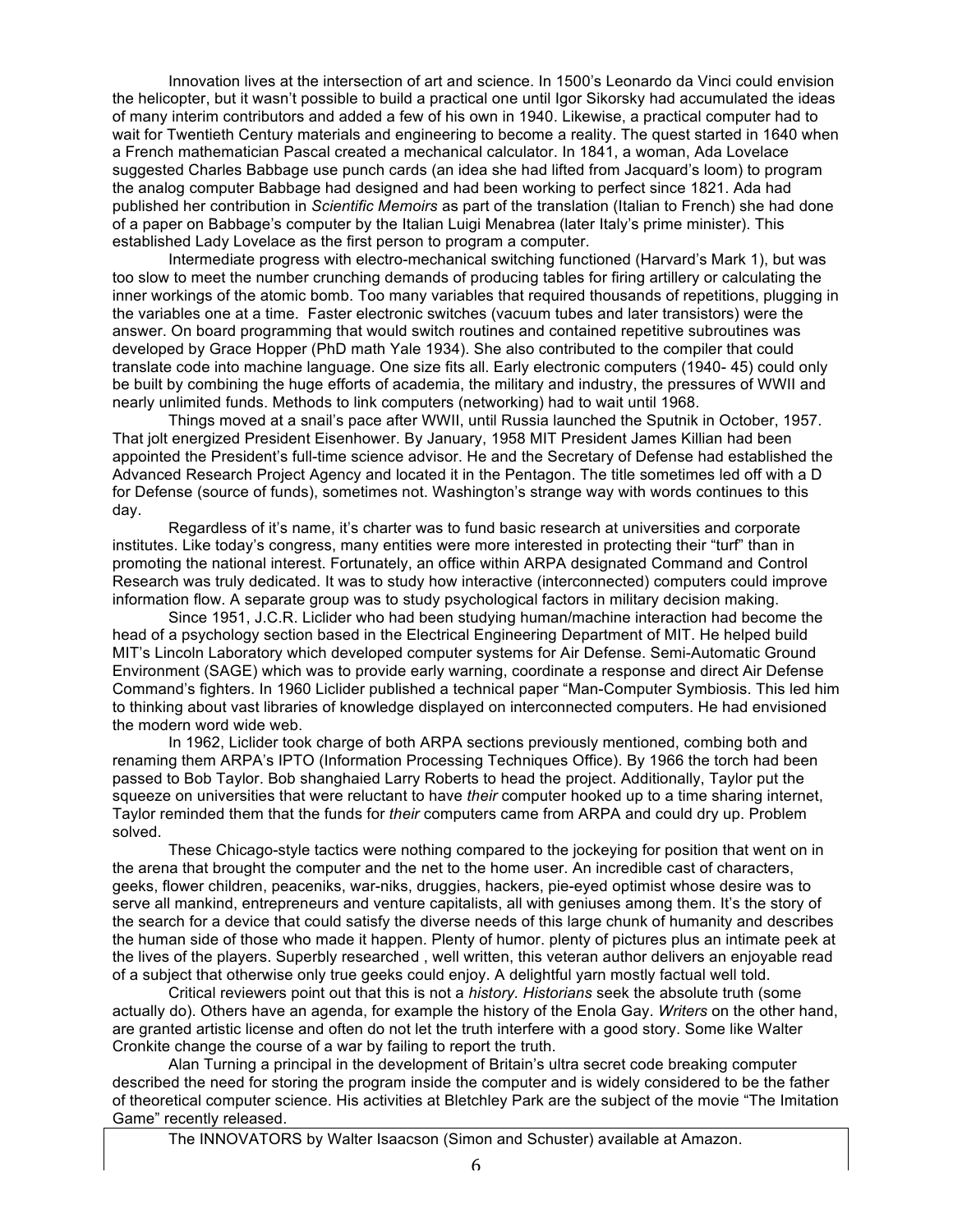Innovation lives at the intersection of art and science. In 1500's Leonardo da Vinci could envision the helicopter, but it wasn't possible to build a practical one until Igor Sikorsky had accumulated the ideas of many interim contributors and added a few of his own in 1940. Likewise, a practical computer had to wait for Twentieth Century materials and engineering to become a reality. The quest started in 1640 when a French mathematician Pascal created a mechanical calculator. In 1841, a woman, Ada Lovelace suggested Charles Babbage use punch cards (an idea she had lifted from Jacquard's loom) to program the analog computer Babbage had designed and had been working to perfect since 1821. Ada had published her contribution in *Scientific Memoirs* as part of the translation (Italian to French) she had done of a paper on Babbage's computer by the Italian Luigi Menabrea (later Italy's prime minister). This established Lady Lovelace as the first person to program a computer.

Intermediate progress with electro-mechanical switching functioned (Harvard's Mark 1), but was too slow to meet the number crunching demands of producing tables for firing artillery or calculating the inner workings of the atomic bomb. Too many variables that required thousands of repetitions, plugging in the variables one at a time. Faster electronic switches (vacuum tubes and later transistors) were the answer. On board programming that would switch routines and contained repetitive subroutines was developed by Grace Hopper (PhD math Yale 1934). She also contributed to the compiler that could translate code into machine language. One size fits all. Early electronic computers (1940- 45) could only be built by combining the huge efforts of academia, the military and industry, the pressures of WWII and nearly unlimited funds. Methods to link computers (networking) had to wait until 1968.

Things moved at a snail's pace after WWII, until Russia launched the Sputnik in October, 1957. That jolt energized President Eisenhower. By January, 1958 MIT President James Killian had been appointed the President's full-time science advisor. He and the Secretary of Defense had established the Advanced Research Project Agency and located it in the Pentagon. The title sometimes led off with a D for Defense (source of funds), sometimes not. Washington's strange way with words continues to this day.

Regardless of it's name, it's charter was to fund basic research at universities and corporate institutes. Like today's congress, many entities were more interested in protecting their "turf" than in promoting the national interest. Fortunately, an office within ARPA designated Command and Control Research was truly dedicated. It was to study how interactive (interconnected) computers could improve information flow. A separate group was to study psychological factors in military decision making.

Since 1951, J.C.R. Liclider who had been studying human/machine interaction had become the head of a psychology section based in the Electrical Engineering Department of MIT. He helped build MIT's Lincoln Laboratory which developed computer systems for Air Defense. Semi-Automatic Ground Environment (SAGE) which was to provide early warning, coordinate a response and direct Air Defense Command's fighters. In 1960 Liclider published a technical paper "Man-Computer Symbiosis. This led him to thinking about vast libraries of knowledge displayed on interconnected computers. He had envisioned the modern word wide web.

In 1962, Liclider took charge of both ARPA sections previously mentioned, combing both and renaming them ARPA's IPTO (Information Processing Techniques Office). By 1966 the torch had been passed to Bob Taylor. Bob shanghaied Larry Roberts to head the project. Additionally, Taylor put the squeeze on universities that were reluctant to have *their* computer hooked up to a time sharing internet, Taylor reminded them that the funds for *their* computers came from ARPA and could dry up. Problem solved.

These Chicago-style tactics were nothing compared to the jockeying for position that went on in the arena that brought the computer and the net to the home user. An incredible cast of characters, geeks, flower children, peaceniks, war-niks, druggies, hackers, pie-eyed optimist whose desire was to serve all mankind, entrepreneurs and venture capitalists, all with geniuses among them. It's the story of the search for a device that could satisfy the diverse needs of this large chunk of humanity and describes the human side of those who made it happen. Plenty of humor. plenty of pictures plus an intimate peek at the lives of the players. Superbly researched , well written, this veteran author delivers an enjoyable read of a subject that otherwise only true geeks could enjoy. A delightful yarn mostly factual well told.

Critical reviewers point out that this is not a *history. Historians* seek the absolute truth (some actually do). Others have an agenda, for example the history of the Enola Gay. *Writers* on the other hand, are granted artistic license and often do not let the truth interfere with a good story. Some like Walter Cronkite change the course of a war by failing to report the truth.

Alan Turning a principal in the development of Britain's ultra secret code breaking computer described the need for storing the program inside the computer and is widely considered to be the father of theoretical computer science. His activities at Bletchley Park are the subject of the movie "The Imitation Game" recently released.

The INNOVATORS by Walter Isaacson (Simon and Schuster) available at Amazon.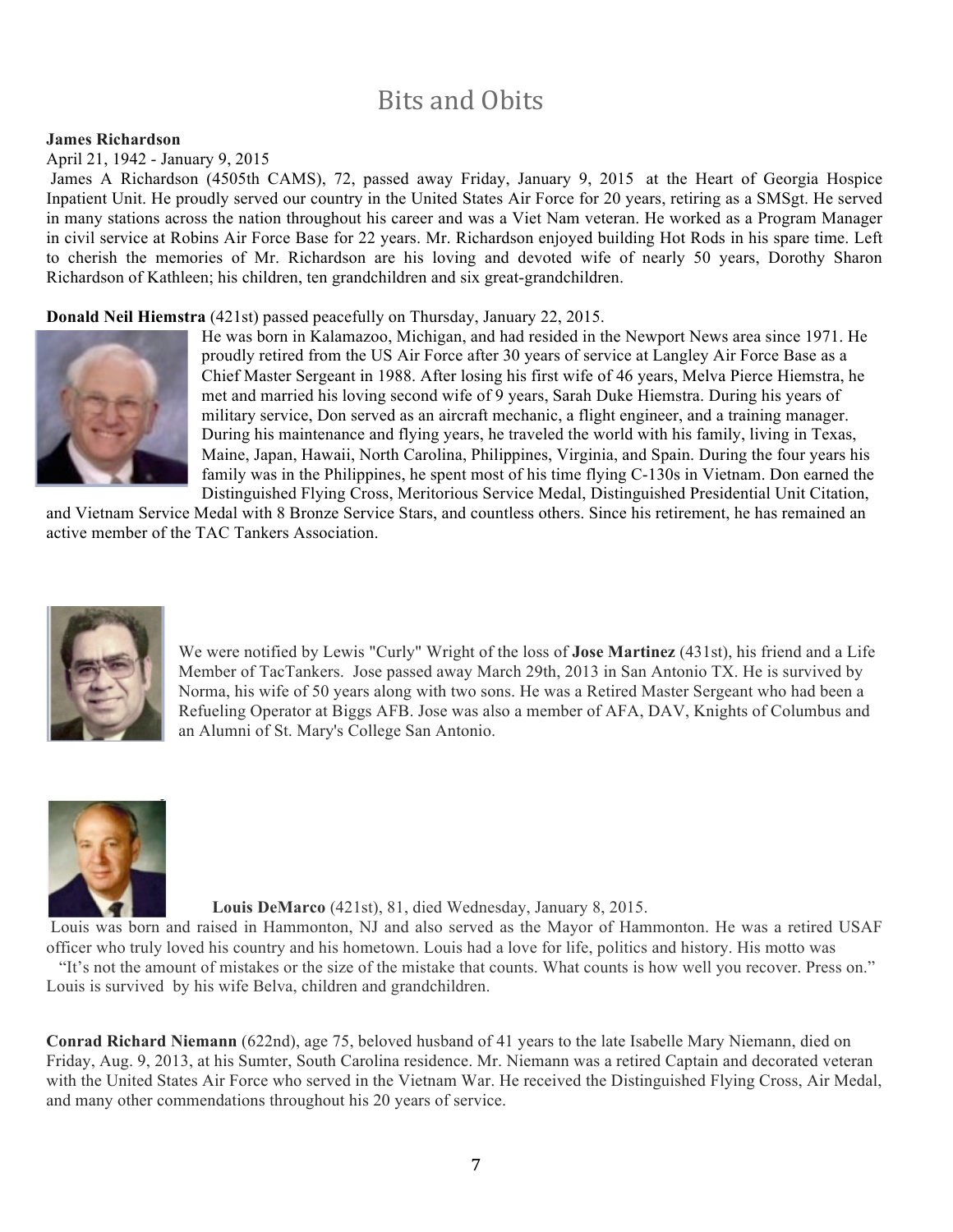# Bits and Obits

#### **James Richardson**

April 21, 1942 - January 9, 2015

James A Richardson (4505th CAMS), 72, passed away Friday, January 9, 2015 at the Heart of Georgia Hospice Inpatient Unit. He proudly served our country in the United States Air Force for 20 years, retiring as a SMSgt. He served in many stations across the nation throughout his career and was a Viet Nam veteran. He worked as a Program Manager in civil service at Robins Air Force Base for 22 years. Mr. Richardson enjoyed building Hot Rods in his spare time. Left to cherish the memories of Mr. Richardson are his loving and devoted wife of nearly 50 years, Dorothy Sharon Richardson of Kathleen; his children, ten grandchildren and six great-grandchildren.

#### **Donald Neil Hiemstra** (421st) passed peacefully on Thursday, January 22, 2015.



He was born in Kalamazoo, Michigan, and had resided in the Newport News area since 1971. He proudly retired from the US Air Force after 30 years of service at Langley Air Force Base as a Chief Master Sergeant in 1988. After losing his first wife of 46 years, Melva Pierce Hiemstra, he met and married his loving second wife of 9 years, Sarah Duke Hiemstra. During his years of military service, Don served as an aircraft mechanic, a flight engineer, and a training manager. During his maintenance and flying years, he traveled the world with his family, living in Texas, Maine, Japan, Hawaii, North Carolina, Philippines, Virginia, and Spain. During the four years his family was in the Philippines, he spent most of his time flying C-130s in Vietnam. Don earned the Distinguished Flying Cross, Meritorious Service Medal, Distinguished Presidential Unit Citation,

and Vietnam Service Medal with 8 Bronze Service Stars, and countless others. Since his retirement, he has remained an active member of the TAC Tankers Association.



We were notified by Lewis "Curly" Wright of the loss of **Jose Martinez** (431st), his friend and a Life Member of TacTankers. Jose passed away March 29th, 2013 in San Antonio TX. He is survived by Norma, his wife of 50 years along with two sons. He was a Retired Master Sergeant who had been a Refueling Operator at Biggs AFB. Jose was also a member of AFA, DAV, Knights of Columbus and an Alumni of St. Mary's College San Antonio.



 **Louis DeMarco** (421st), 81, died Wednesday, January 8, 2015.

Louis was born and raised in Hammonton, NJ and also served as the Mayor of Hammonton. He was a retired USAF officer who truly loved his country and his hometown. Louis had a love for life, politics and history. His motto was

 "It's not the amount of mistakes or the size of the mistake that counts. What counts is how well you recover. Press on." Louis is survived by his wife Belva, children and grandchildren.

**Conrad Richard Niemann** (622nd), age 75, beloved husband of 41 years to the late Isabelle Mary Niemann, died on Friday, Aug. 9, 2013, at his Sumter, South Carolina residence. Mr. Niemann was a retired Captain and decorated veteran with the United States Air Force who served in the Vietnam War. He received the Distinguished Flying Cross, Air Medal, and many other commendations throughout his 20 years of service.